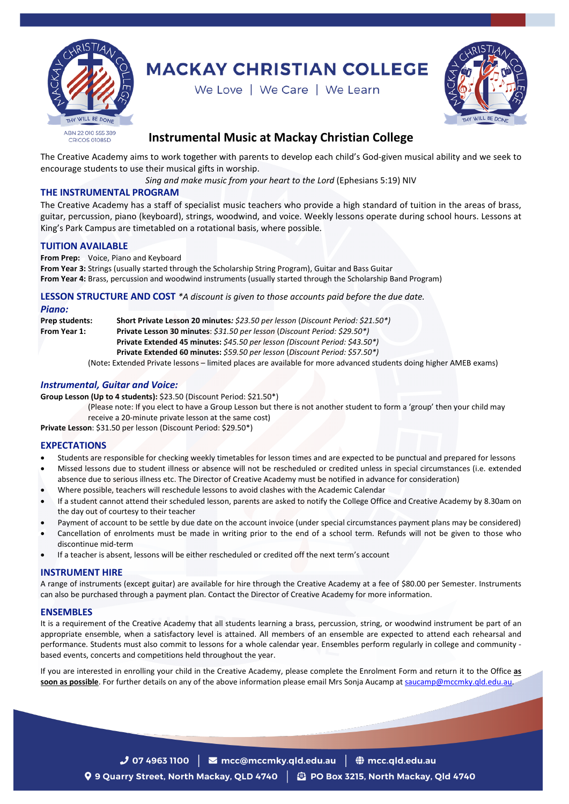

# **MACKAY CHRISTIAN COLLEGE**

We Love | We Care | We Learn



# **Instrumental Music at Mackay Christian College**

The Creative Academy aims to work together with parents to develop each child's God-given musical ability and we seek to encourage students to use their musical gifts in worship.

*Sing and make music from your heart to the Lord* (Ephesians 5:19) NIV

# **THE INSTRUMENTAL PROGRAM**

The Creative Academy has a staff of specialist music teachers who provide a high standard of tuition in the areas of brass, guitar, percussion, piano (keyboard), strings, woodwind, and voice. Weekly lessons operate during school hours. Lessons at King's Park Campus are timetabled on a rotational basis, where possible.

# **TUITION AVAILABLE**

**From Prep:** Voice, Piano and Keyboard

**From Year 3:** Strings (usually started through the Scholarship String Program), Guitar and Bass Guitar **From Year 4:** Brass, percussion and woodwind instruments (usually started through the Scholarship Band Program)

# **LESSON STRUCTURE AND COST** *\*A discount is given to those accounts paid before the due date.*

#### *Piano:*

**Prep students: Short Private Lesson 20 minutes***: \$23.50 per lesson* (*Discount Period: \$21.50\*)* **From Year 1: Private Lesson 30 minutes**: *\$31.50 per lesson* (*Discount Period: \$29.50\*)* **Private Extended 45 minutes:** *\$45.50 per lesson (Discount Period: \$43.50\*)* **Private Extended 60 minutes:** *\$59.50 per lesson* (*Discount Period: \$57.50\*)*

(Note**:** Extended Private lessons – limited places are available for more advanced students doing higher AMEB exams)

#### *Instrumental, Guitar and Voice:*

**Group Lesson (Up to 4 students):** \$23.50 (Discount Period: \$21.50\*)

(Please note: If you elect to have a Group Lesson but there is not another student to form a 'group' then your child may receive a 20-minute private lesson at the same cost)

**Private Lesson**: \$31.50 per lesson (Discount Period: \$29.50\*)

# **EXPECTATIONS**

- Students are responsible for checking weekly timetables for lesson times and are expected to be punctual and prepared for lessons
- Missed lessons due to student illness or absence will not be rescheduled or credited unless in special circumstances (i.e. extended absence due to serious illness etc. The Director of Creative Academy must be notified in advance for consideration)
- Where possible, teachers will reschedule lessons to avoid clashes with the Academic Calendar
- If a student cannot attend their scheduled lesson, parents are asked to notify the College Office and Creative Academy by 8.30am on the day out of courtesy to their teacher
- Payment of account to be settle by due date on the account invoice (under special circumstances payment plans may be considered)
- Cancellation of enrolments must be made in writing prior to the end of a school term. Refunds will not be given to those who discontinue mid-term
- If a teacher is absent, lessons will be either rescheduled or credited off the next term's account

# **INSTRUMENT HIRE**

A range of instruments (except guitar) are available for hire through the Creative Academy at a fee of \$80.00 per Semester. Instruments can also be purchased through a payment plan. Contact the Director of Creative Academy for more information.

#### **ENSEMBLES**

It is a requirement of the Creative Academy that all students learning a brass, percussion, string, or woodwind instrument be part of an appropriate ensemble, when a satisfactory level is attained. All members of an ensemble are expected to attend each rehearsal and performance. Students must also commit to lessons for a whole calendar year. Ensembles perform regularly in college and community based events, concerts and competitions held throughout the year.

If you are interested in enrolling your child in the Creative Academy, please complete the Enrolment Form and return it to the Office **as**  soon as possible. For further details on any of the above information please email Mrs Sonja Aucamp at [saucamp@mccmky.qld.edu.au.](mailto:saucamp@mccmky.qld.edu.au)